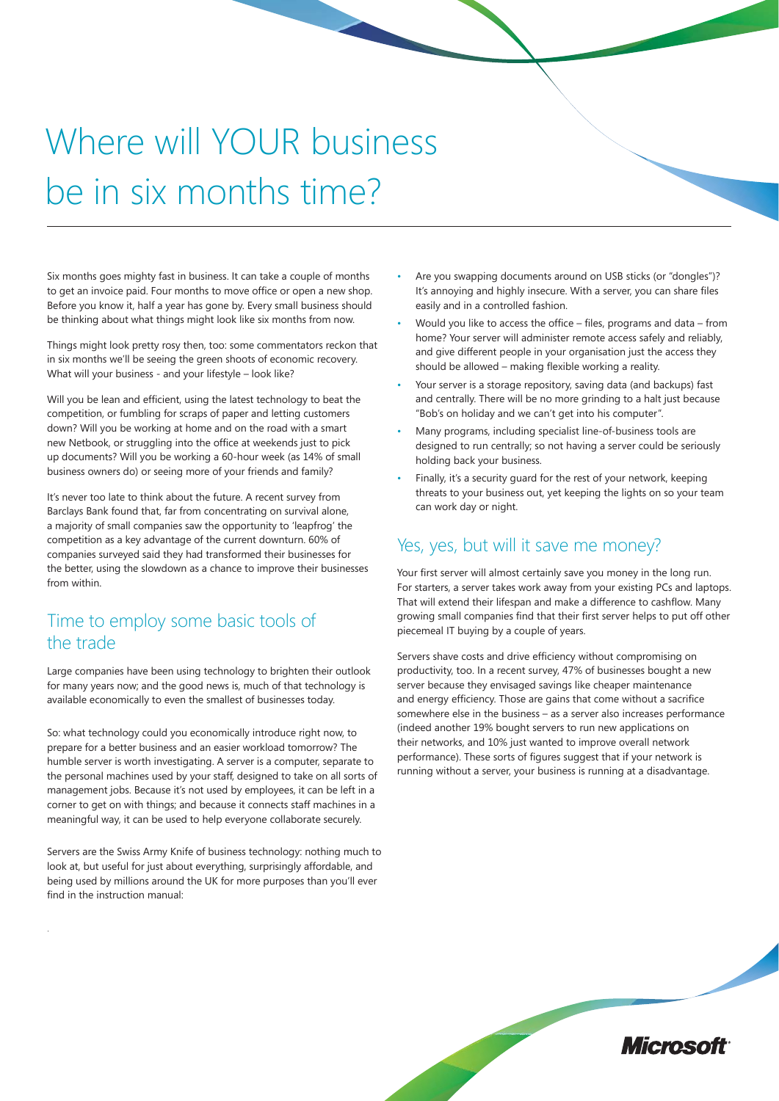# Where will YOUR business be in six months time?

Six months goes mighty fast in business. It can take a couple of months to get an invoice paid. Four months to move office or open a new shop. Before you know it, half a year has gone by. Every small business should be thinking about what things might look like six months from now.

Things might look pretty rosy then, too: some commentators reckon that in six months we'll be seeing the green shoots of economic recovery. What will your business - and your lifestyle – look like?

Will you be lean and efficient, using the latest technology to beat the competition, or fumbling for scraps of paper and letting customers down? Will you be working at home and on the road with a smart new Netbook, or struggling into the office at weekends just to pick up documents? Will you be working a 60-hour week (as 14% of small business owners do) or seeing more of your friends and family?

It's never too late to think about the future. A recent survey from Barclays Bank found that, far from concentrating on survival alone, a majority of small companies saw the opportunity to 'leapfrog' the competition as a key advantage of the current downturn. 60% of companies surveyed said they had transformed their businesses for the better, using the slowdown as a chance to improve their businesses from within.

#### Time to employ some basic tools of the trade

Large companies have been using technology to brighten their outlook for many years now; and the good news is, much of that technology is available economically to even the smallest of businesses today.

So: what technology could you economically introduce right now, to prepare for a better business and an easier workload tomorrow? The humble server is worth investigating. A server is a computer, separate to the personal machines used by your staff, designed to take on all sorts of management jobs. Because it's not used by employees, it can be left in a corner to get on with things; and because it connects staff machines in a meaningful way, it can be used to help everyone collaborate securely.

Servers are the Swiss Army Knife of business technology: nothing much to look at, but useful for just about everything, surprisingly affordable, and being used by millions around the UK for more purposes than you'll ever find in the instruction manual:

.

- Are you swapping documents around on USB sticks (or "dongles")? It's annoying and highly insecure. With a server, you can share files easily and in a controlled fashion.
- Would you like to access the office files, programs and data from home? Your server will administer remote access safely and reliably, and give different people in your organisation just the access they should be allowed – making flexible working a reality.
- Your server is a storage repository, saving data (and backups) fast and centrally. There will be no more grinding to a halt just because "Bob's on holiday and we can't get into his computer".
- Many programs, including specialist line-of-business tools are designed to run centrally; so not having a server could be seriously holding back your business.
- Finally, it's a security guard for the rest of your network, keeping threats to your business out, yet keeping the lights on so your team can work day or night.

#### Yes, yes, but will it save me money?

Your first server will almost certainly save you money in the long run. For starters, a server takes work away from your existing PCs and laptops. That will extend their lifespan and make a difference to cashflow. Many growing small companies find that their first server helps to put off other piecemeal IT buying by a couple of years.

Servers shave costs and drive efficiency without compromising on productivity, too. In a recent survey, 47% of businesses bought a new server because they envisaged savings like cheaper maintenance and energy efficiency. Those are gains that come without a sacrifice somewhere else in the business – as a server also increases performance (indeed another 19% bought servers to run new applications on their networks, and 10% just wanted to improve overall network performance). These sorts of figures suggest that if your network is running without a server, your business is running at a disadvantage.

Microsoft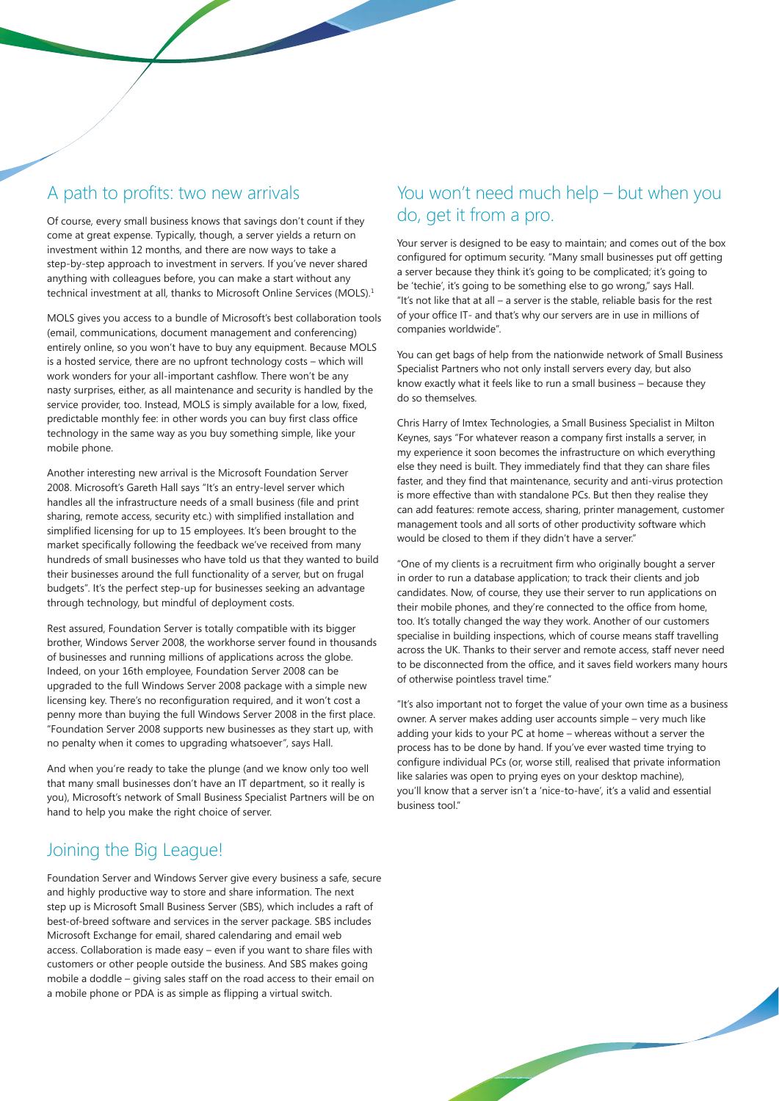#### A path to profits: two new arrivals

Of course, every small business knows that savings don't count if they come at great expense. Typically, though, a server yields a return on investment within 12 months, and there are now ways to take a step-by-step approach to investment in servers. If you've never shared anything with colleagues before, you can make a start without any technical investment at all, thanks to Microsoft Online Services (MOLS).<sup>1</sup>

MOLS gives you access to a bundle of Microsoft's best collaboration tools (email, communications, document management and conferencing) entirely online, so you won't have to buy any equipment. Because MOLS is a hosted service, there are no upfront technology costs – which will work wonders for your all-important cashflow. There won't be any nasty surprises, either, as all maintenance and security is handled by the service provider, too. Instead, MOLS is simply available for a low, fixed, predictable monthly fee: in other words you can buy first class office technology in the same way as you buy something simple, like your mobile phone.

Another interesting new arrival is the Microsoft Foundation Server 2008. Microsoft's Gareth Hall says "It's an entry-level server which handles all the infrastructure needs of a small business (file and print sharing, remote access, security etc.) with simplified installation and simplified licensing for up to 15 employees. It's been brought to the market specifically following the feedback we've received from many hundreds of small businesses who have told us that they wanted to build their businesses around the full functionality of a server, but on frugal budgets". It's the perfect step-up for businesses seeking an advantage through technology, but mindful of deployment costs.

Rest assured, Foundation Server is totally compatible with its bigger brother, Windows Server 2008, the workhorse server found in thousands of businesses and running millions of applications across the globe. Indeed, on your 16th employee, Foundation Server 2008 can be upgraded to the full Windows Server 2008 package with a simple new licensing key. There's no reconfiguration required, and it won't cost a penny more than buying the full Windows Server 2008 in the first place. "Foundation Server 2008 supports new businesses as they start up, with no penalty when it comes to upgrading whatsoever", says Hall.

And when you're ready to take the plunge (and we know only too well that many small businesses don't have an IT department, so it really is you), Microsoft's network of Small Business Specialist Partners will be on hand to help you make the right choice of server.

# Joining the Big League!

Foundation Server and Windows Server give every business a safe, secure and highly productive way to store and share information. The next step up is Microsoft Small Business Server (SBS), which includes a raft of best-of-breed software and services in the server package. SBS includes Microsoft Exchange for email, shared calendaring and email web access. Collaboration is made easy - even if you want to share files with customers or other people outside the business. And SBS makes going mobile a doddle – giving sales staff on the road access to their email on a mobile phone or PDA is as simple as flipping a virtual switch.

## You won't need much help – but when you do, get it from a pro.

Your server is designed to be easy to maintain; and comes out of the box configured for optimum security. "Many small businesses put off getting a server because they think it's going to be complicated; it's going to be 'techie', it's going to be something else to go wrong," says Hall. "It's not like that at all – a server is the stable, reliable basis for the rest of your office IT- and that's why our servers are in use in millions of companies worldwide".

You can get bags of help from the nationwide network of Small Business Specialist Partners who not only install servers every day, but also know exactly what it feels like to run a small business – because they do so themselves.

Chris Harry of Imtex Technologies, a Small Business Specialist in Milton Keynes, says "For whatever reason a company first installs a server, in my experience it soon becomes the infrastructure on which everything else they need is built. They immediately find that they can share files faster, and they find that maintenance, security and anti-virus protection is more effective than with standalone PCs. But then they realise they can add features: remote access, sharing, printer management, customer management tools and all sorts of other productivity software which would be closed to them if they didn't have a server."

"One of my clients is a recruitment firm who originally bought a server in order to run a database application; to track their clients and job candidates. Now, of course, they use their server to run applications on their mobile phones, and they're connected to the office from home, too. It's totally changed the way they work. Another of our customers specialise in building inspections, which of course means staff travelling across the UK. Thanks to their server and remote access, staff never need to be disconnected from the office, and it saves field workers many hours of otherwise pointless travel time."

"It's also important not to forget the value of your own time as a business owner. A server makes adding user accounts simple – very much like adding your kids to your PC at home – whereas without a server the process has to be done by hand. If you've ever wasted time trying to configure individual PCs (or, worse still, realised that private information like salaries was open to prying eyes on your desktop machine), you'll know that a server isn't a 'nice-to-have', it's a valid and essential business tool."